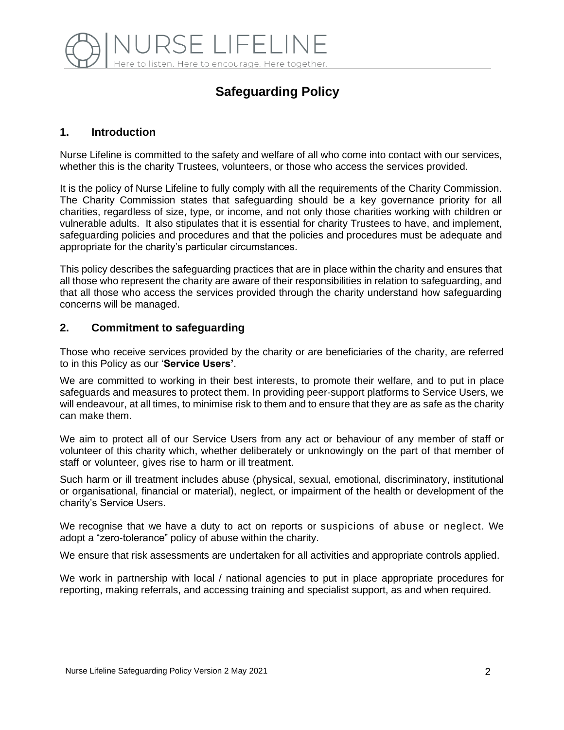

# **Safeguarding Policy**

# **1. Introduction**

Nurse Lifeline is committed to the safety and welfare of all who come into contact with our services, whether this is the charity Trustees, volunteers, or those who access the services provided.

It is the policy of Nurse Lifeline to fully comply with all the requirements of the Charity Commission. The Charity Commission states that safeguarding should be a key governance priority for all charities, regardless of size, type, or income, and not only those charities working with children or vulnerable adults. It also stipulates that it is essential for charity Trustees to have, and implement, safeguarding policies and procedures and that the policies and procedures must be adequate and appropriate for the charity's particular circumstances.

This policy describes the safeguarding practices that are in place within the charity and ensures that all those who represent the charity are aware of their responsibilities in relation to safeguarding, and that all those who access the services provided through the charity understand how safeguarding concerns will be managed.

#### **2. Commitment to safeguarding**

Those who receive services provided by the charity or are beneficiaries of the charity, are referred to in this Policy as our '**Service Users'**.

We are committed to working in their best interests, to promote their welfare, and to put in place safeguards and measures to protect them. In providing peer-support platforms to Service Users, we will endeavour, at all times, to minimise risk to them and to ensure that they are as safe as the charity can make them.

We aim to protect all of our Service Users from any act or behaviour of any member of staff or volunteer of this charity which, whether deliberately or unknowingly on the part of that member of staff or volunteer, gives rise to harm or ill treatment.

Such harm or ill treatment includes abuse (physical, sexual, emotional, discriminatory, institutional or organisational, financial or material), neglect, or impairment of the health or development of the charity's Service Users.

We recognise that we have a duty to act on reports or suspicions of abuse or neglect. We adopt a "zero-tolerance" policy of abuse within the charity.

We ensure that risk assessments are undertaken for all activities and appropriate controls applied.

We work in partnership with local / national agencies to put in place appropriate procedures for reporting, making referrals, and accessing training and specialist support, as and when required.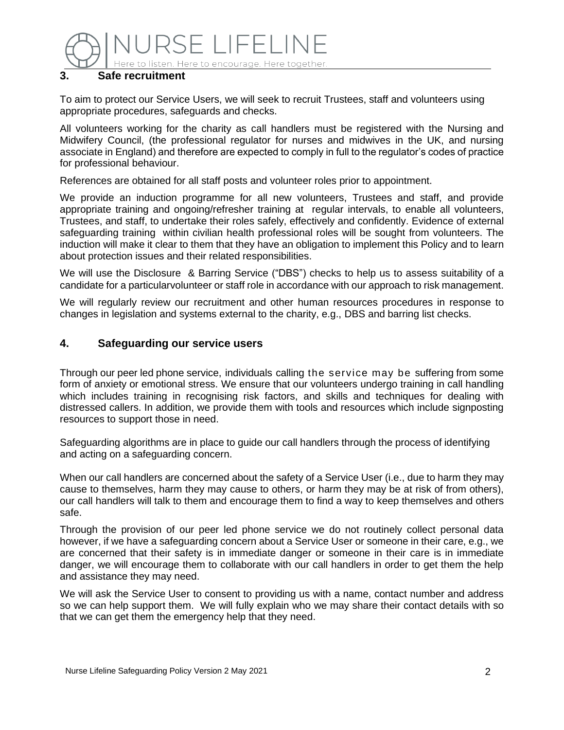

#### **3. Safe recruitment**

To aim to protect our Service Users, we will seek to recruit Trustees, staff and volunteers using appropriate procedures, safeguards and checks.

All volunteers working for the charity as call handlers must be registered with the Nursing and Midwifery Council, (the professional regulator for nurses and midwives in the UK, and nursing associate in England) and therefore are expected to comply in full to the regulator's codes of practice for professional behaviour.

References are obtained for all staff posts and volunteer roles prior to appointment.

We provide an induction programme for all new volunteers, Trustees and staff, and provide appropriate training and ongoing/refresher training at regular intervals, to enable all volunteers, Trustees, and staff, to undertake their roles safely, effectively and confidently. Evidence of external safeguarding training within civilian health professional roles will be sought from volunteers. The induction will make it clear to them that they have an obligation to implement this Policy and to learn about protection issues and their related responsibilities.

We will use the Disclosure & Barring Service ("DBS") checks to help us to assess suitability of a candidate for a particularvolunteer or staff role in accordance with our approach to risk management.

We will regularly review our recruitment and other human resources procedures in response to changes in legislation and systems external to the charity, e.g., DBS and barring list checks.

#### **4. Safeguarding our service users**

Through our peer led phone service, individuals calling the service may be suffering from some form of anxiety or emotional stress. We ensure that our volunteers undergo training in call handling which includes training in recognising risk factors, and skills and techniques for dealing with distressed callers. In addition, we provide them with tools and resources which include signposting resources to support those in need.

Safeguarding algorithms are in place to guide our call handlers through the process of identifying and acting on a safeguarding concern.

When our call handlers are concerned about the safety of a Service User (i.e., due to harm they may cause to themselves, harm they may cause to others, or harm they may be at risk of from others), our call handlers will talk to them and encourage them to find a way to keep themselves and others safe.

Through the provision of our peer led phone service we do not routinely collect personal data however, if we have a safeguarding concern about a Service User or someone in their care, e.g., we are concerned that their safety is in immediate danger or someone in their care is in immediate danger, we will encourage them to collaborate with our call handlers in order to get them the help and assistance they may need.

We will ask the Service User to consent to providing us with a name, contact number and address so we can help support them. We will fully explain who we may share their contact details with so that we can get them the emergency help that they need.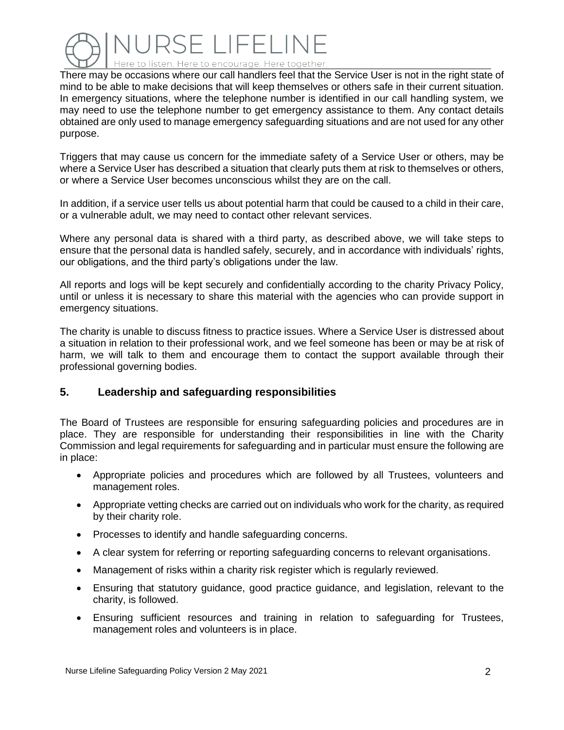

There may be occasions where our call handlers feel that the Service User is not in the right state of mind to be able to make decisions that will keep themselves or others safe in their current situation. In emergency situations, where the telephone number is identified in our call handling system, we may need to use the telephone number to get emergency assistance to them. Any contact details obtained are only used to manage emergency safeguarding situations and are not used for any other purpose.

Triggers that may cause us concern for the immediate safety of a Service User or others, may be where a Service User has described a situation that clearly puts them at risk to themselves or others, or where a Service User becomes unconscious whilst they are on the call.

In addition, if a service user tells us about potential harm that could be caused to a child in their care, or a vulnerable adult, we may need to contact other relevant services.

Where any personal data is shared with a third party, as described above, we will take steps to ensure that the personal data is handled safely, securely, and in accordance with individuals' rights, our obligations, and the third party's obligations under the law.

All reports and logs will be kept securely and confidentially according to the charity Privacy Policy, until or unless it is necessary to share this material with the agencies who can provide support in emergency situations.

The charity is unable to discuss fitness to practice issues. Where a Service User is distressed about a situation in relation to their professional work, and we feel someone has been or may be at risk of harm, we will talk to them and encourage them to contact the support available through their professional governing bodies.

# **5. Leadership and safeguarding responsibilities**

The Board of Trustees are responsible for ensuring safeguarding policies and procedures are in place. They are responsible for understanding their responsibilities in line with the Charity Commission and legal requirements for safeguarding and in particular must ensure the following are in place:

- Appropriate policies and procedures which are followed by all Trustees, volunteers and management roles.
- Appropriate vetting checks are carried out on individuals who work for the charity, as required by their charity role.
- Processes to identify and handle safeguarding concerns.
- A clear system for referring or reporting safeguarding concerns to relevant organisations.
- Management of risks within a charity risk register which is regularly reviewed.
- Ensuring that statutory guidance, good practice guidance, and legislation, relevant to the charity, is followed.
- Ensuring sufficient resources and training in relation to safeguarding for Trustees, management roles and volunteers is in place.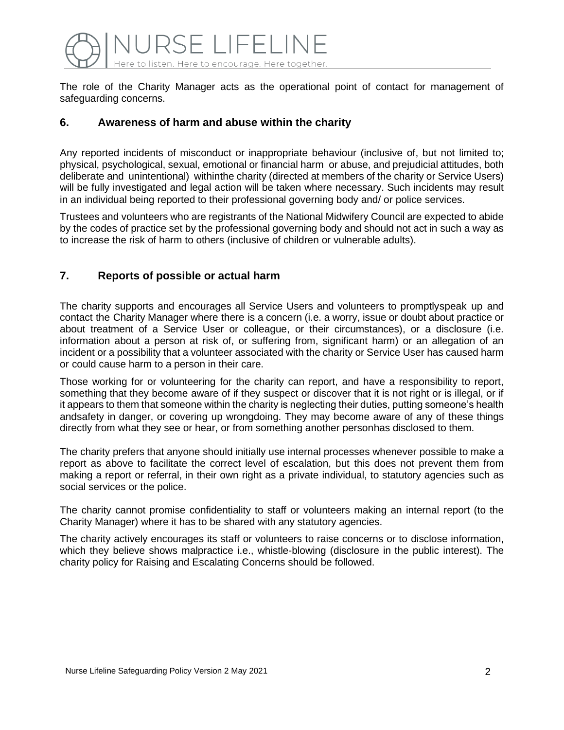

The role of the Charity Manager acts as the operational point of contact for management of safeguarding concerns.

#### **6. Awareness of harm and abuse within the charity**

Any reported incidents of misconduct or inappropriate behaviour (inclusive of, but not limited to; physical, psychological, sexual, emotional or financial harm or abuse, and prejudicial attitudes, both deliberate and unintentional) withinthe charity (directed at members of the charity or Service Users) will be fully investigated and legal action will be taken where necessary. Such incidents may result in an individual being reported to their professional governing body and/ or police services.

Trustees and volunteers who are registrants of the National Midwifery Council are expected to abide by the codes of practice set by the professional governing body and should not act in such a way as to increase the risk of harm to others (inclusive of children or vulnerable adults).

# **7. Reports of possible or actual harm**

The charity supports and encourages all Service Users and volunteers to promptlyspeak up and contact the Charity Manager where there is a concern (i.e. a worry, issue or doubt about practice or about treatment of a Service User or colleague, or their circumstances), or a disclosure (i.e. information about a person at risk of, or suffering from, significant harm) or an allegation of an incident or a possibility that a volunteer associated with the charity or Service User has caused harm or could cause harm to a person in their care.

Those working for or volunteering for the charity can report, and have a responsibility to report, something that they become aware of if they suspect or discover that it is not right or is illegal, or if it appears to them that someone within the charity is neglecting their duties, putting someone's health andsafety in danger, or covering up wrongdoing. They may become aware of any of these things directly from what they see or hear, or from something another personhas disclosed to them.

The charity prefers that anyone should initially use internal processes whenever possible to make a report as above to facilitate the correct level of escalation, but this does not prevent them from making a report or referral, in their own right as a private individual, to statutory agencies such as social services or the police.

The charity cannot promise confidentiality to staff or volunteers making an internal report (to the Charity Manager) where it has to be shared with any statutory agencies.

The charity actively encourages its staff or volunteers to raise concerns or to disclose information, which they believe shows malpractice i.e., whistle-blowing (disclosure in the public interest). The charity policy for Raising and Escalating Concerns should be followed.